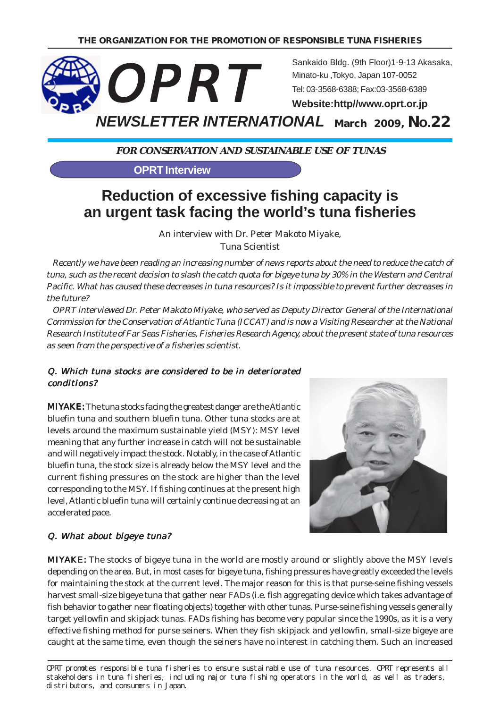

**FOR CONSERVATION AND SUSTAINABLE USE OF TUNAS**

**OPRT Interview**

# **Reduction of excessive fishing capacity is an urgent task facing the world's tuna fisheries**

An interview with Dr. Peter Makoto Miyake, Tuna Scientist

 Recently we have been reading an increasing number of news reports about the need to reduce the catch of tuna, such as the recent decision to slash the catch quota for bigeye tuna by 30% in the Western and Central Pacific. What has caused these decreases in tuna resources? Is it impossible to prevent further decreases in the future?

 OPRT interviewed Dr. Peter Makoto Miyake, who served as Deputy Director General of the International Commission for the Conservation of Atlantic Tuna (ICCAT) and is now a Visiting Researcher at the National Research Institute of Far Seas Fisheries, Fisheries Research Agency, about the present state of tuna resources as seen from the perspective of a fisheries scientist.

#### Q. Which tuna stocks are considered to be in deteriorated conditions?

MIYAKE: The tuna stocks facing the greatest danger are the Atlantic bluefin tuna and southern bluefin tuna. Other tuna stocks are at levels around the maximum sustainable yield (MSY): MSY level meaning that any further increase in catch will not be sustainable and will negatively impact the stock. Notably, in the case of Atlantic bluefin tuna, the stock size is already below the MSY level and the current fishing pressures on the stock are higher than the level corresponding to the MSY. If fishing continues at the present high level, Atlantic bluefin tuna will certainly continue decreasing at an accelerated pace.



#### Q. What about bigeye tuna?

MIYAKE: The stocks of bigeye tuna in the world are mostly around or slightly above the MSY levels depending on the area. But, in most cases for bigeye tuna, fishing pressures have greatly exceeded the levels for maintaining the stock at the current level. The major reason for this is that purse-seine fishing vessels harvest small-size bigeye tuna that gather near FADs (i.e. fish aggregating device which takes advantage of fish behavior to gather near floating objects) together with other tunas. Purse-seine fishing vessels generally target yellowfin and skipjack tunas. FADs fishing has become very popular since the 1990s, as it is a very effective fishing method for purse seiners. When they fish skipjack and yellowfin, small-size bigeye are caught at the same time, even though the seiners have no interest in catching them. Such an increased

OPRT promotes responsible tuna fisheries to ensure sustainable use of tuna resources. OPRT represents all stakeholders in tuna fisheries, including major tuna fishing operators in the world, as well as traders, distributors, and consumers in Japan.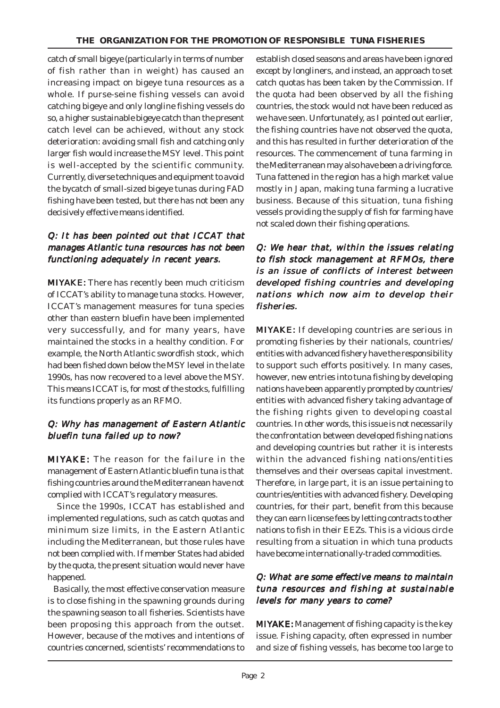catch of small bigeye (particularly in terms of number of fish rather than in weight) has caused an increasing impact on bigeye tuna resources as a whole. If purse-seine fishing vessels can avoid catching bigeye and only longline fishing vessels do so, a higher sustainable bigeye catch than the present catch level can be achieved, without any stock deterioration: avoiding small fish and catching only larger fish would increase the MSY level. This point is well-accepted by the scientific community. Currently, diverse techniques and equipment to avoid the bycatch of small-sized bigeye tunas during FAD fishing have been tested, but there has not been any decisively effective means identified.

#### Q: It has been pointed out that ICCAT that manages Atlantic tuna resources has not been functioning adequately in recent years.

MIYAKE: There has recently been much criticism of ICCAT's ability to manage tuna stocks. However, ICCAT's management measures for tuna species other than eastern bluefin have been implemented very successfully, and for many years, have maintained the stocks in a healthy condition. For example, the North Atlantic swordfish stock, which had been fished down below the MSY level in the late 1990s, has now recovered to a level above the MSY. This means ICCAT is, for most of the stocks, fulfilling its functions properly as an RFMO.

#### Q: Why has management of Eastern Atlantic bluefin tuna failed up to now?

MIYAKE: The reason for the failure in the management of Eastern Atlantic bluefin tuna is that fishing countries around the Mediterranean have not complied with ICCAT's regulatory measures.

 Since the 1990s, ICCAT has established and implemented regulations, such as catch quotas and minimum size limits, in the Eastern Atlantic including the Mediterranean, but those rules have not been complied with. If member States had abided by the quota, the present situation would never have happened.

 Basically, the most effective conservation measure is to close fishing in the spawning grounds during the spawning season to all fisheries. Scientists have been proposing this approach from the outset. However, because of the motives and intentions of countries concerned, scientists' recommendations to

establish closed seasons and areas have been ignored except by longliners, and instead, an approach to set catch quotas has been taken by the Commission. If the quota had been observed by all the fishing countries, the stock would not have been reduced as we have seen. Unfortunately, as I pointed out earlier, the fishing countries have not observed the quota, and this has resulted in further deterioration of the resources. The commencement of tuna farming in the Mediterranean may also have been a driving force. Tuna fattened in the region has a high market value mostly in Japan, making tuna farming a lucrative business. Because of this situation, tuna fishing vessels providing the supply of fish for farming have not scaled down their fishing operations.

#### Q: We hear that, within the issues relating to fish stock management at RFMOs, there is an issue of conflicts of interest between developed fishing countries and developing nations which now aim to develop their fisheries.

MIYAKE: If developing countries are serious in promoting fisheries by their nationals, countries/ entities with advanced fishery have the responsibility to support such efforts positively. In many cases, however, new entries into tuna fishing by developing nations have been apparently prompted by countries/ entities with advanced fishery taking advantage of the fishing rights given to developing coastal countries. In other words, this issue is not necessarily the confrontation between developed fishing nations and developing countries but rather it is interests within the advanced fishing nations/entities themselves and their overseas capital investment. Therefore, in large part, it is an issue pertaining to countries/entities with advanced fishery. Developing countries, for their part, benefit from this because they can earn license fees by letting contracts to other nations to fish in their EEZs. This is a vicious circle resulting from a situation in which tuna products have become internationally-traded commodities.

#### Q: What are some effective means to maintain tuna resources and fishing at sustainable levels for many years to come?

MIYAKE: Management of fishing capacity is the key issue. Fishing capacity, often expressed in number and size of fishing vessels, has become too large to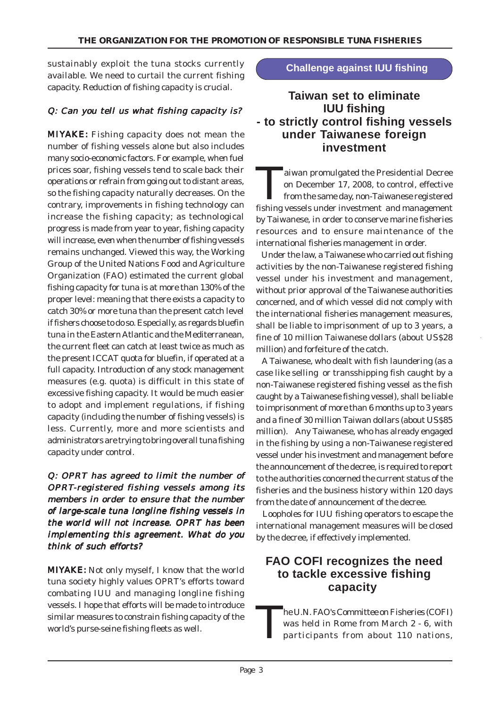sustainably exploit the tuna stocks currently available. We need to curtail the current fishing capacity. Reduction of fishing capacity is crucial.

### Q: Can you tell us what fishing capacity is?

MIYAKE: Fishing capacity does not mean the number of fishing vessels alone but also includes many socio-economic factors. For example, when fuel prices soar, fishing vessels tend to scale back their operations or refrain from going out to distant areas, so the fishing capacity naturally decreases. On the contrary, improvements in fishing technology can increase the fishing capacity; as technological progress is made from year to year, fishing capacity will increase, even when the number of fishing vessels remains unchanged. Viewed this way, the Working Group of the United Nations Food and Agriculture Organization (FAO) estimated the current global fishing capacity for tuna is at more than 130% of the proper level: meaning that there exists a capacity to catch 30% or more tuna than the present catch level if fishers choose to do so. Especially, as regards bluefin tuna in the Eastern Atlantic and the Mediterranean, the current fleet can catch at least twice as much as the present ICCAT quota for bluefin, if operated at a full capacity. Introduction of any stock management measures (e.g. quota) is difficult in this state of excessive fishing capacity. It would be much easier to adopt and implement regulations, if fishing capacity (including the number of fishing vessels) is less. Currently, more and more scientists and administrators are trying to bring overall tuna fishing capacity under control.

 $Q:$  OPRT has agreed to limit the number of OPRT-registered fishing vessels among its members in order to ensure that the number of large-scale tuna longline fishing vessels in the world will not increase. OPRT has been implementing this agreement. What do you think of such efforts?

MIYAKE: Not only myself, I know that the world tuna society highly values OPRT's efforts toward combating IUU and managing longline fishing vessels. I hope that efforts will be made to introduce similar measures to constrain fishing capacity of the world's purse-seine fishing fleets as well.

### **Challenge against IUU fishing**

## **Taiwan set to eliminate IUU fishing - to strictly control fishing vessels under Taiwanese foreign investment**

**Aziwan promulgated the Presidential Decree** on December 17, 2008, to control, effective from the same day, non-Taiwanese registered fishing vessels under investment and management by Taiwanese, in order to conserve marine fisheries resources and to ensure maintenance of the international fisheries management in order.

 Under the law, a Taiwanese who carried out fishing activities by the non-Taiwanese registered fishing vessel under his investment and management, without prior approval of the Taiwanese authorities concerned, and of which vessel did not comply with the international fisheries management measures, shall be liable to imprisonment of up to 3 years, a fine of 10 million Taiwanese dollars (about US\$28 million) and forfeiture of the catch.

 A Taiwanese, who dealt with fish laundering (as a case like selling or transshipping fish caught by a non-Taiwanese registered fishing vessel as the fish caught by a Taiwanese fishing vessel), shall be liable to imprisonment of more than 6 months up to 3 years and a fine of 30 million Taiwan dollars (about US\$85 million). Any Taiwanese, who has already engaged in the fishing by using a non-Taiwanese registered vessel under his investment and management before the announcement of the decree, is required to report to the authorities concerned the current status of the fisheries and the business history within 120 days from the date of announcement of the decree.

 Loopholes for IUU fishing operators to escape the international management measures will be closed by the decree, if effectively implemented.

## **FAO COFI recognizes the need to tackle excessive fishing capacity**

The U.N. FAO's Committee on Fisheries (COFI)<br>was held in Rome from March 2 - 6, with<br>participants from about 110 nations, was held in Rome from March 2 - 6, with